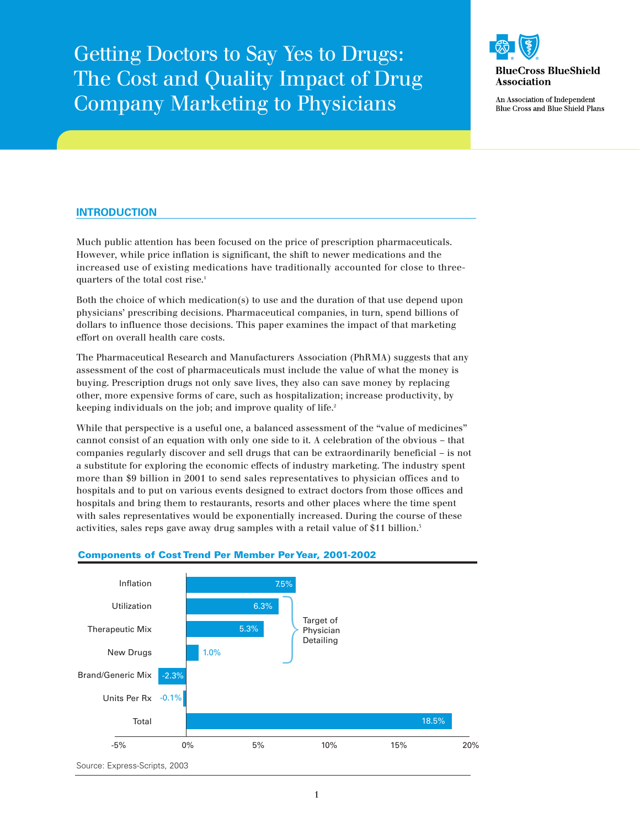Getting Doctors to Say Yes to Drugs: The Cost and Quality Impact of Drug Company Marketing to Physicians



An Association of Independent **Blue Cross and Blue Shield Plans** 

# **INTRODUCTION**

Much public attention has been focused on the price of prescription pharmaceuticals. However, while price inflation is significant, the shift to newer medications and the increased use of existing medications have traditionally accounted for close to threequarters of the total cost rise.<sup>1</sup>

Both the choice of which medication(s) to use and the duration of that use depend upon physicians' prescribing decisions. Pharmaceutical companies, in turn, spend billions of dollars to influence those decisions. This paper examines the impact of that marketing effort on overall health care costs.

The Pharmaceutical Research and Manufacturers Association (PhRMA) suggests that any assessment of the cost of pharmaceuticals must include the value of what the money is buying. Prescription drugs not only save lives, they also can save money by replacing other, more expensive forms of care, such as hospitalization; increase productivity, by keeping individuals on the job; and improve quality of life.<sup>2</sup>

While that perspective is a useful one, a balanced assessment of the "value of medicines" cannot consist of an equation with only one side to it. A celebration of the obvious – that companies regularly discover and sell drugs that can be extraordinarily beneficial – is not a substitute for exploring the economic effects of industry marketing. The industry spent more than \$9 billion in 2001 to send sales representatives to physician offices and to hospitals and to put on various events designed to extract doctors from those offices and hospitals and bring them to restaurants, resorts and other places where the time spent with sales representatives would be exponentially increased. During the course of these activities, sales reps gave away drug samples with a retail value of \$11 billion.<sup>5</sup>



# **Components of Cost Trend Per Member Per Year, 2001-2002**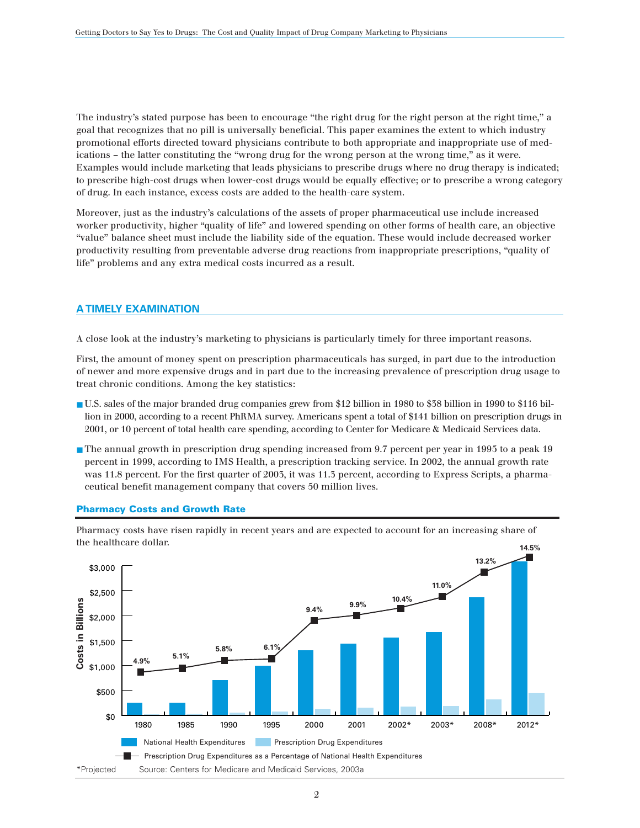The industry's stated purpose has been to encourage "the right drug for the right person at the right time," a goal that recognizes that no pill is universally beneficial. This paper examines the extent to which industry promotional efforts directed toward physicians contribute to both appropriate and inappropriate use of medications – the latter constituting the "wrong drug for the wrong person at the wrong time," as it were. Examples would include marketing that leads physicians to prescribe drugs where no drug therapy is indicated; to prescribe high-cost drugs when lower-cost drugs would be equally effective; or to prescribe a wrong category of drug. In each instance, excess costs are added to the health-care system.

Moreover, just as the industry's calculations of the assets of proper pharmaceutical use include increased worker productivity, higher "quality of life" and lowered spending on other forms of health care, an objective "value" balance sheet must include the liability side of the equation. These would include decreased worker productivity resulting from preventable adverse drug reactions from inappropriate prescriptions, "quality of life" problems and any extra medical costs incurred as a result.

# **A TIMELY EXAMINATION**

A close look at the industry's marketing to physicians is particularly timely for three important reasons.

First, the amount of money spent on prescription pharmaceuticals has surged, in part due to the introduction of newer and more expensive drugs and in part due to the increasing prevalence of prescription drug usage to treat chronic conditions. Among the key statistics:

- U.S. sales of the major branded drug companies grew from \$12 billion in 1980 to \$38 billion in 1990 to \$116 billion in 2000, according to a recent PhRMA survey. Americans spent a total of \$141 billion on prescription drugs in 2001, or 10 percent of total health care spending, according to Center for Medicare & Medicaid Services data.
- The annual growth in prescription drug spending increased from 9.7 percent per year in 1995 to a peak 19 percent in 1999, according to IMS Health, a prescription tracking service. In 2002, the annual growth rate was 11.8 percent. For the first quarter of 2003, it was 11.3 percent, according to Express Scripts, a pharmaceutical benefit management company that covers 50 million lives.



#### **Pharmacy Costs and Growth Rate**

Pharmacy costs have risen rapidly in recent years and are expected to account for an increasing share of the healthcare dollar.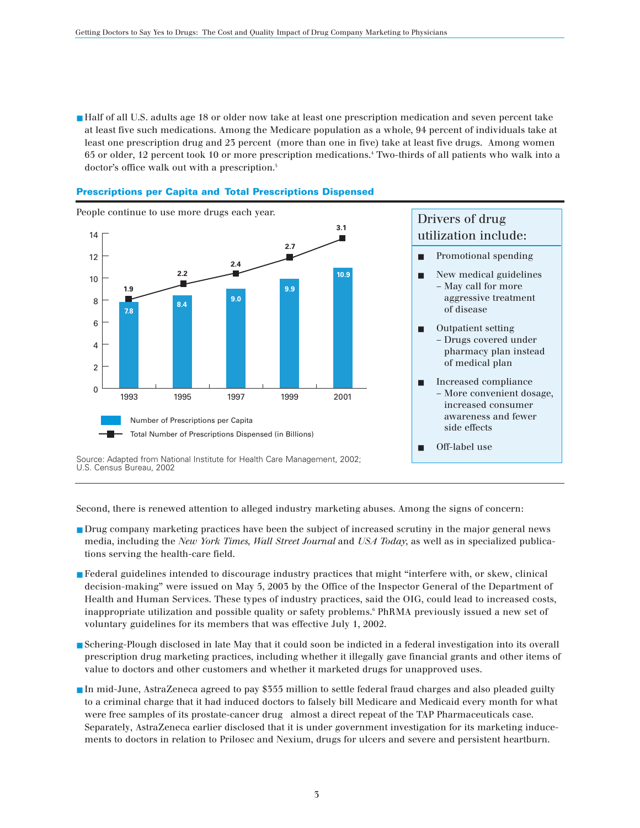■ Half of all U.S. adults age 18 or older now take at least one prescription medication and seven percent take at least five such medications. Among the Medicare population as a whole, 94 percent of individuals take at least one prescription drug and 23 percent (more than one in five) take at least five drugs. Among women 65 or older, 12 percent took 10 or more prescription medications.4 Two-thirds of all patients who walk into a doctor's office walk out with a prescription.<sup>5</sup>



#### **Prescriptions per Capita and Total Prescriptions Dispensed**

Second, there is renewed attention to alleged industry marketing abuses. Among the signs of concern:

- Drug company marketing practices have been the subject of increased scrutiny in the major general news media, including the *New York Times, Wall Street Journal* and *USA Today*, as well as in specialized publications serving the health-care field.
- Federal guidelines intended to discourage industry practices that might "interfere with, or skew, clinical decision-making" were issued on May 5, 2003 by the Office of the Inspector General of the Department of Health and Human Services. These types of industry practices, said the OIG, could lead to increased costs, inappropriate utilization and possible quality or safety problems.6 PhRMA previously issued a new set of voluntary guidelines for its members that was effective July 1, 2002.
- Schering-Plough disclosed in late May that it could soon be indicted in a federal investigation into its overall prescription drug marketing practices, including whether it illegally gave financial grants and other items of value to doctors and other customers and whether it marketed drugs for unapproved uses.
- In mid-June, AstraZeneca agreed to pay \$355 million to settle federal fraud charges and also pleaded guilty to a criminal charge that it had induced doctors to falsely bill Medicare and Medicaid every month for what were free samples of its prostate-cancer drug almost a direct repeat of the TAP Pharmaceuticals case. Separately, AstraZeneca earlier disclosed that it is under government investigation for its marketing inducements to doctors in relation to Prilosec and Nexium, drugs for ulcers and severe and persistent heartburn.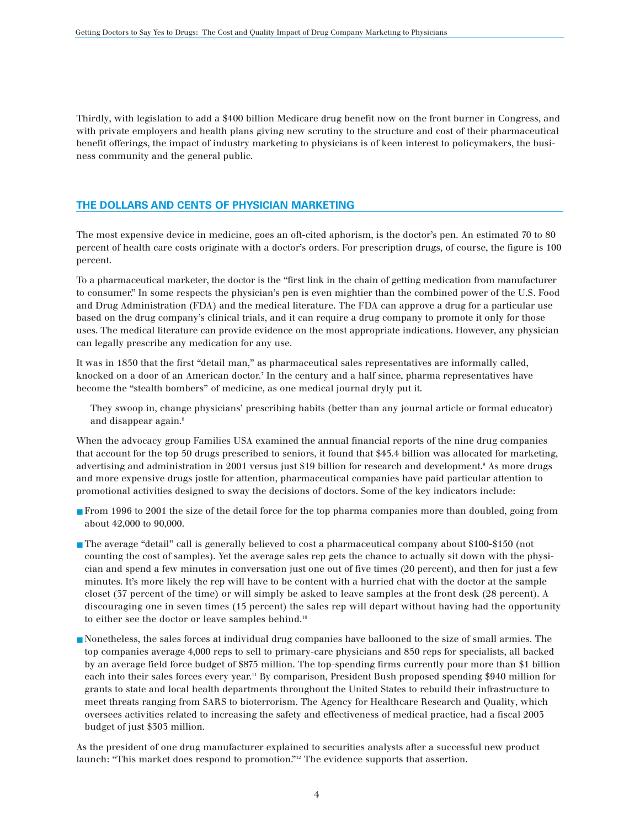Thirdly, with legislation to add a \$400 billion Medicare drug benefit now on the front burner in Congress, and with private employers and health plans giving new scrutiny to the structure and cost of their pharmaceutical benefit offerings, the impact of industry marketing to physicians is of keen interest to policymakers, the business community and the general public.

# **THE DOLLARS AND CENTS OF PHYSICIAN MARKETING**

The most expensive device in medicine, goes an oft-cited aphorism, is the doctor's pen. An estimated 70 to 80 percent of health care costs originate with a doctor's orders. For prescription drugs, of course, the figure is 100 percent.

To a pharmaceutical marketer, the doctor is the "first link in the chain of getting medication from manufacturer to consumer." In some respects the physician's pen is even mightier than the combined power of the U.S. Food and Drug Administration (FDA) and the medical literature. The FDA can approve a drug for a particular use based on the drug company's clinical trials, and it can require a drug company to promote it only for those uses. The medical literature can provide evidence on the most appropriate indications. However, any physician can legally prescribe any medication for any use.

It was in 1850 that the first "detail man," as pharmaceutical sales representatives are informally called, knocked on a door of an American doctor.<sup>7</sup> In the century and a half since, pharma representatives have become the "stealth bombers" of medicine, as one medical journal dryly put it.

They swoop in, change physicians' prescribing habits (better than any journal article or formal educator) and disappear again.<sup>8</sup>

When the advocacy group Families USA examined the annual financial reports of the nine drug companies that account for the top 50 drugs prescribed to seniors, it found that \$45.4 billion was allocated for marketing, advertising and administration in 2001 versus just \$19 billion for research and development.<sup>9</sup> As more drugs and more expensive drugs jostle for attention, pharmaceutical companies have paid particular attention to promotional activities designed to sway the decisions of doctors. Some of the key indicators include:

- From 1996 to 2001 the size of the detail force for the top pharma companies more than doubled, going from about 42,000 to 90,000.
- The average "detail" call is generally believed to cost a pharmaceutical company about \$100-\$150 (not counting the cost of samples). Yet the average sales rep gets the chance to actually sit down with the physician and spend a few minutes in conversation just one out of five times (20 percent), and then for just a few minutes. It's more likely the rep will have to be content with a hurried chat with the doctor at the sample closet (37 percent of the time) or will simply be asked to leave samples at the front desk (28 percent). A discouraging one in seven times (15 percent) the sales rep will depart without having had the opportunity to either see the doctor or leave samples behind.10
- Nonetheless, the sales forces at individual drug companies have ballooned to the size of small armies. The top companies average 4,000 reps to sell to primary-care physicians and 850 reps for specialists, all backed by an average field force budget of \$875 million. The top-spending firms currently pour more than \$1 billion each into their sales forces every year.<sup>11</sup> By comparison, President Bush proposed spending \$940 million for grants to state and local health departments throughout the United States to rebuild their infrastructure to meet threats ranging from SARS to bioterrorism. The Agency for Healthcare Research and Quality, which oversees activities related to increasing the safety and effectiveness of medical practice, had a fiscal 2003 budget of just \$303 million.

As the president of one drug manufacturer explained to securities analysts after a successful new product launch: "This market does respond to promotion."<sup>12</sup> The evidence supports that assertion.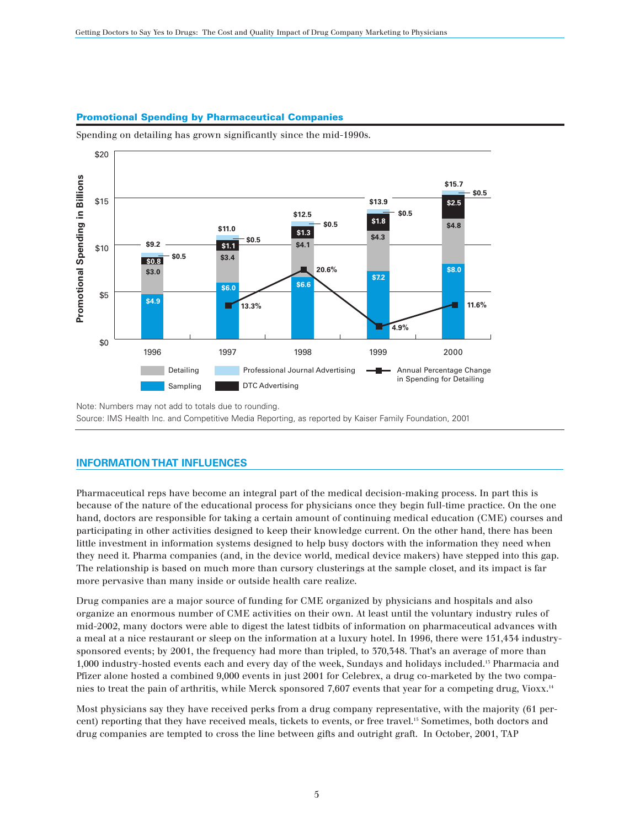# **Promotional Spending by Pharmaceutical Companies**

Spending on detailing has grown significantly since the mid-1990s.



Note: Numbers may not add to totals due to rounding. Source: IMS Health Inc. and Competitive Media Reporting, as reported by Kaiser Family Foundation, 2001

# **INFORMATION THAT INFLUENCES**

Pharmaceutical reps have become an integral part of the medical decision-making process. In part this is because of the nature of the educational process for physicians once they begin full-time practice. On the one hand, doctors are responsible for taking a certain amount of continuing medical education (CME) courses and participating in other activities designed to keep their knowledge current. On the other hand, there has been little investment in information systems designed to help busy doctors with the information they need when they need it. Pharma companies (and, in the device world, medical device makers) have stepped into this gap. The relationship is based on much more than cursory clusterings at the sample closet, and its impact is far more pervasive than many inside or outside health care realize.

Drug companies are a major source of funding for CME organized by physicians and hospitals and also organize an enormous number of CME activities on their own. At least until the voluntary industry rules of mid-2002, many doctors were able to digest the latest tidbits of information on pharmaceutical advances with a meal at a nice restaurant or sleep on the information at a luxury hotel. In 1996, there were 151,434 industrysponsored events; by 2001, the frequency had more than tripled, to 370, 348. That's an average of more than 1,000 industry-hosted events each and every day of the week, Sundays and holidays included.13 Pharmacia and Pfizer alone hosted a combined 9,000 events in just 2001 for Celebrex, a drug co-marketed by the two companies to treat the pain of arthritis, while Merck sponsored 7,607 events that year for a competing drug, Vioxx.<sup>14</sup>

Most physicians say they have received perks from a drug company representative, with the majority (61 percent) reporting that they have received meals, tickets to events, or free travel.15 Sometimes, both doctors and drug companies are tempted to cross the line between gifts and outright graft. In October, 2001, TAP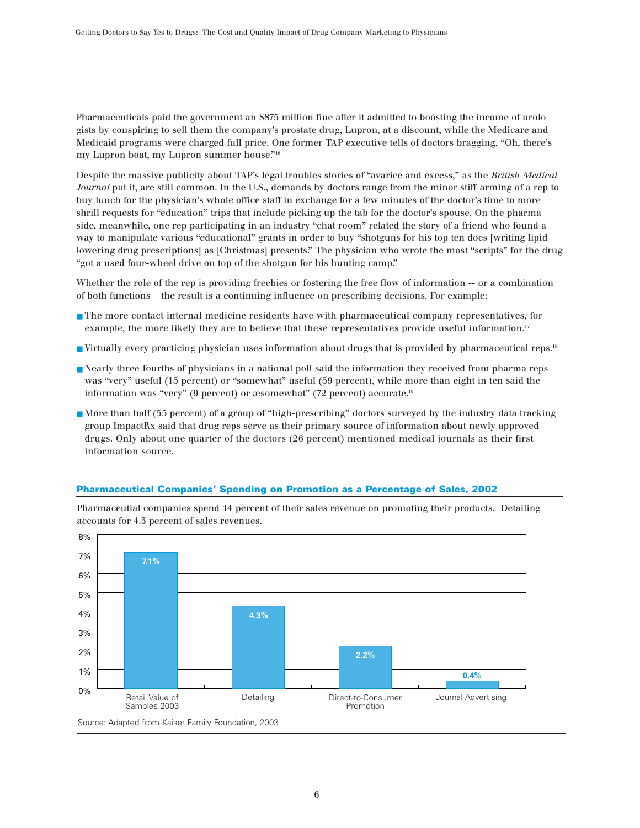Pharmaceuticals paid the government an \$875 million fine after it admitted to boosting the income of urologists by conspiring to sell them the company's prostate drug, Lupron, at a discount, while the Medicare and Medicaid programs were charged full price. One former TAP executive tells of doctors bragging, "Oh, there's my Lupron boat, my Lupron summer house."16

Despite the massive publicity about TAP's legal troubles stories of "avarice and excess," as the *British Medical Journal* put it, are still common. In the U.S., demands by doctors range from the minor stiff-arming of a rep to buy lunch for the physician's whole office staff in exchange for a few minutes of the doctor's time to more shrill requests for "education" trips that include picking up the tab for the doctor's spouse. On the pharma side, meanwhile, one rep participating in an industry "chat room" related the story of a friend who found a way to manipulate various "educational" grants in order to buy "shotguns for his top ten docs [writing lipidlowering drug prescriptions] as [Christmas] presents." The physician who wrote the most "scripts" for the drug "got a used four-wheel drive on top of the shotgun for his hunting camp."

Whether the role of the rep is providing freebies or fostering the free flow of information -- or a combination of both functions – the result is a continuing influence on prescribing decisions. For example:

- The more contact internal medicine residents have with pharmaceutical company representatives, for example, the more likely they are to believe that these representatives provide useful information.<sup>17</sup>
- Virtually every practicing physician uses information about drugs that is provided by pharmaceutical reps.18
- Nearly three-fourths of physicians in a national poll said the information they received from pharma reps was "very" useful (15 percent) or "somewhat" useful (59 percent), while more than eight in ten said the information was "very" (9 percent) or æsomewhat" (72 percent) accurate.19
- More than half (55 percent) of a group of "high-prescribing" doctors surveyed by the industry data tracking group ImpactRx said that drug reps serve as their primary source of information about newly approved drugs. Only about one quarter of the doctors (26 percent) mentioned medical journals as their first information source.



**Pharmaceutical Companies' Spending on Promotion as a Percentage of Sales, 2002**

Pharmaceutial companies spend 14 percent of their sales revenue on promoting their products. Detailing accounts for 4.3 percent of sales revenues.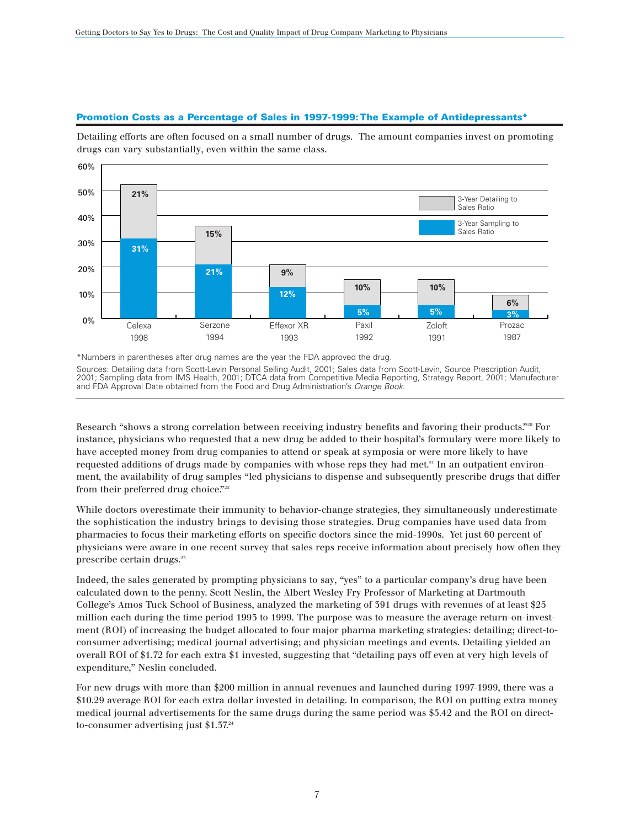### **Promotion Costs as a Percentage of Sales in 1997-1999: The Example of Antidepressants\***

Detailing efforts are often focused on a small number of drugs. The amount companies invest on promoting drugs can vary substantially, even within the same class.



\*Numbers in parentheses after drug names are the year the FDA approved the drug. Sources: Detailing data from Scott-Levin Personal Selling Audit, 2001; Sales data from Scott-Levin, Source Prescription Audit, 2001; Sampling data from IMS Health, 2001; DTCA data from Competitive Media Reporting, Strategy Report, 2001; Manufacturer and FDA Approval Date obtained from the Food and Drug Administration's *Orange Book.*

Research "shows a strong correlation between receiving industry benefits and favoring their products."<sup>20</sup> For instance, physicians who requested that a new drug be added to their hospital's formulary were more likely to have accepted money from drug companies to attend or speak at symposia or were more likely to have requested additions of drugs made by companies with whose reps they had met.<sup>21</sup> In an outpatient environment, the availability of drug samples "led physicians to dispense and subsequently prescribe drugs that differ from their preferred drug choice."<sup>222</sup>

While doctors overestimate their immunity to behavior-change strategies, they simultaneously underestimate the sophistication the industry brings to devising those strategies. Drug companies have used data from pharmacies to focus their marketing efforts on specific doctors since the mid-1990s. Yet just 60 percent of physicians were aware in one recent survey that sales reps receive information about precisely how often they prescribe certain drugs.<sup>25</sup>

Indeed, the sales generated by prompting physicians to say, "yes" to a particular company's drug have been calculated down to the penny. Scott Neslin, the Albert Wesley Fry Professor of Marketing at Dartmouth College's Amos Tuck School of Business, analyzed the marketing of 391 drugs with revenues of at least \$25 million each during the time period 1993 to 1999. The purpose was to measure the average return-on-investment (ROI) of increasing the budget allocated to four major pharma marketing strategies: detailing; direct-toconsumer advertising; medical journal advertising; and physician meetings and events. Detailing yielded an overall ROI of \$1.72 for each extra \$1 invested, suggesting that "detailing pays off even at very high levels of expenditure," Neslin concluded.

For new drugs with more than \$200 million in annual revenues and launched during 1997-1999, there was a \$10.29 average ROI for each extra dollar invested in detailing. In comparison, the ROI on putting extra money medical journal advertisements for the same drugs during the same period was \$5.42 and the ROI on directto-consumer advertising just \$1.37.24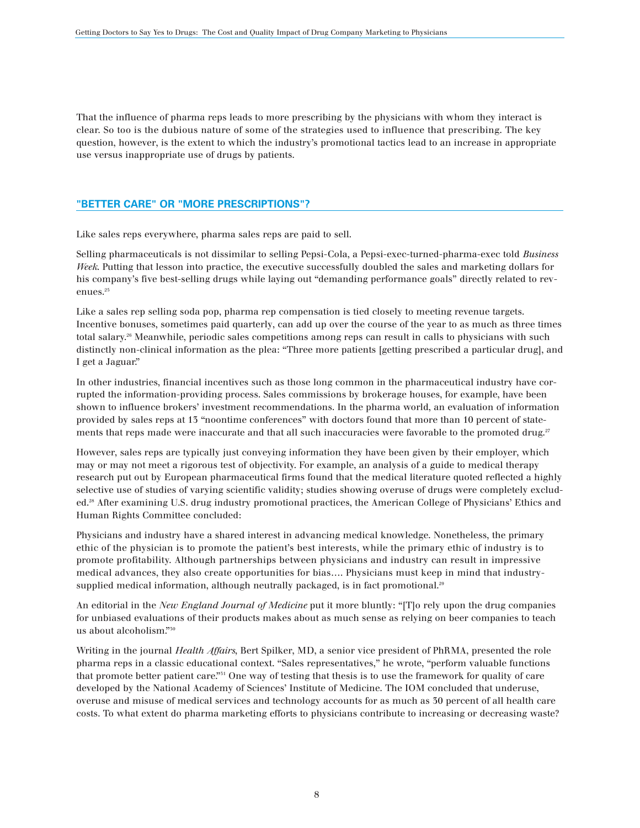That the influence of pharma reps leads to more prescribing by the physicians with whom they interact is clear. So too is the dubious nature of some of the strategies used to influence that prescribing. The key question, however, is the extent to which the industry's promotional tactics lead to an increase in appropriate use versus inappropriate use of drugs by patients.

# **"BETTER CARE" OR "MORE PRESCRIPTIONS"?**

Like sales reps everywhere, pharma sales reps are paid to sell.

Selling pharmaceuticals is not dissimilar to selling Pepsi-Cola, a Pepsi-exec-turned-pharma-exec told *Business Week*. Putting that lesson into practice, the executive successfully doubled the sales and marketing dollars for his company's five best-selling drugs while laying out "demanding performance goals" directly related to revenues.<sup>25</sup>

Like a sales rep selling soda pop, pharma rep compensation is tied closely to meeting revenue targets. Incentive bonuses, sometimes paid quarterly, can add up over the course of the year to as much as three times total salary.26 Meanwhile, periodic sales competitions among reps can result in calls to physicians with such distinctly non-clinical information as the plea: "Three more patients [getting prescribed a particular drug], and I get a Jaguar."

In other industries, financial incentives such as those long common in the pharmaceutical industry have corrupted the information-providing process. Sales commissions by brokerage houses, for example, have been shown to influence brokers' investment recommendations. In the pharma world, an evaluation of information provided by sales reps at 13 "noontime conferences" with doctors found that more than 10 percent of statements that reps made were inaccurate and that all such inaccuracies were favorable to the promoted drug.<sup>27</sup>

However, sales reps are typically just conveying information they have been given by their employer, which may or may not meet a rigorous test of objectivity. For example, an analysis of a guide to medical therapy research put out by European pharmaceutical firms found that the medical literature quoted reflected a highly selective use of studies of varying scientific validity; studies showing overuse of drugs were completely excluded.28 After examining U.S. drug industry promotional practices, the American College of Physicians' Ethics and Human Rights Committee concluded:

Physicians and industry have a shared interest in advancing medical knowledge. Nonetheless, the primary ethic of the physician is to promote the patient's best interests, while the primary ethic of industry is to promote profitability. Although partnerships between physicians and industry can result in impressive medical advances, they also create opportunities for bias…. Physicians must keep in mind that industrysupplied medical information, although neutrally packaged, is in fact promotional.<sup>29</sup>

An editorial in the *New England Journal of Medicine* put it more bluntly: "[T]o rely upon the drug companies for unbiased evaluations of their products makes about as much sense as relying on beer companies to teach us about alcoholism."30

Writing in the journal *Health Affairs*, Bert Spilker, MD, a senior vice president of PhRMA, presented the role pharma reps in a classic educational context. "Sales representatives," he wrote, "perform valuable functions that promote better patient care."31 One way of testing that thesis is to use the framework for quality of care developed by the National Academy of Sciences' Institute of Medicine. The IOM concluded that underuse, overuse and misuse of medical services and technology accounts for as much as 30 percent of all health care costs. To what extent do pharma marketing efforts to physicians contribute to increasing or decreasing waste?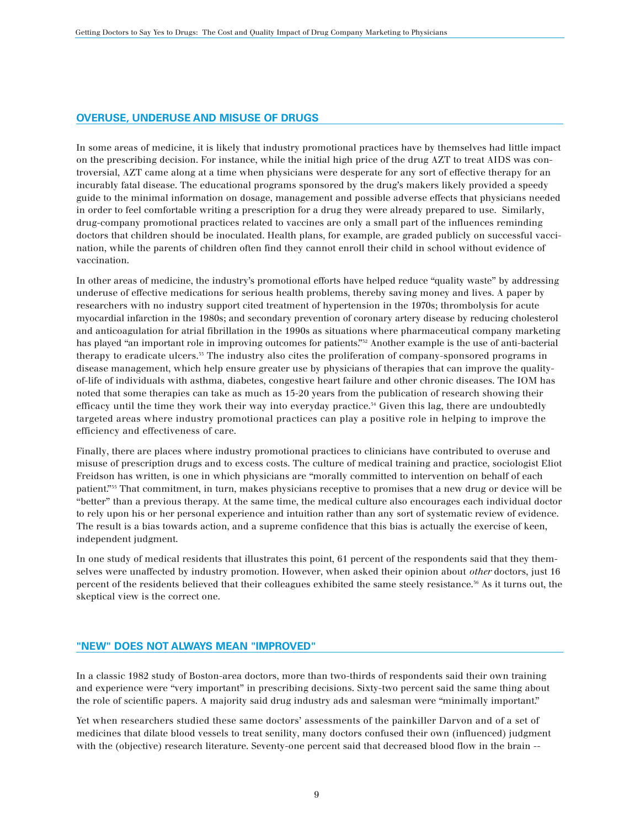# **OVERUSE, UNDERUSE AND MISUSE OF DRUGS**

In some areas of medicine, it is likely that industry promotional practices have by themselves had little impact on the prescribing decision. For instance, while the initial high price of the drug AZT to treat AIDS was controversial, AZT came along at a time when physicians were desperate for any sort of effective therapy for an incurably fatal disease. The educational programs sponsored by the drug's makers likely provided a speedy guide to the minimal information on dosage, management and possible adverse effects that physicians needed in order to feel comfortable writing a prescription for a drug they were already prepared to use. Similarly, drug-company promotional practices related to vaccines are only a small part of the influences reminding doctors that children should be inoculated. Health plans, for example, are graded publicly on successful vaccination, while the parents of children often find they cannot enroll their child in school without evidence of vaccination.

In other areas of medicine, the industry's promotional efforts have helped reduce "quality waste" by addressing underuse of effective medications for serious health problems, thereby saving money and lives. A paper by researchers with no industry support cited treatment of hypertension in the 1970s; thrombolysis for acute myocardial infarction in the 1980s; and secondary prevention of coronary artery disease by reducing cholesterol and anticoagulation for atrial fibrillation in the 1990s as situations where pharmaceutical company marketing has played "an important role in improving outcomes for patients."<sup>32</sup> Another example is the use of anti-bacterial therapy to eradicate ulcers.33 The industry also cites the proliferation of company-sponsored programs in disease management, which help ensure greater use by physicians of therapies that can improve the qualityof-life of individuals with asthma, diabetes, congestive heart failure and other chronic diseases. The IOM has noted that some therapies can take as much as 15-20 years from the publication of research showing their efficacy until the time they work their way into everyday practice.<sup>34</sup> Given this lag, there are undoubtedly targeted areas where industry promotional practices can play a positive role in helping to improve the efficiency and effectiveness of care.

Finally, there are places where industry promotional practices to clinicians have contributed to overuse and misuse of prescription drugs and to excess costs. The culture of medical training and practice, sociologist Eliot Freidson has written, is one in which physicians are "morally committed to intervention on behalf of each patient."35 That commitment, in turn, makes physicians receptive to promises that a new drug or device will be "better" than a previous therapy. At the same time, the medical culture also encourages each individual doctor to rely upon his or her personal experience and intuition rather than any sort of systematic review of evidence. The result is a bias towards action, and a supreme confidence that this bias is actually the exercise of keen, independent judgment.

In one study of medical residents that illustrates this point, 61 percent of the respondents said that they themselves were unaffected by industry promotion. However, when asked their opinion about *other* doctors, just 16 percent of the residents believed that their colleagues exhibited the same steely resistance.36 As it turns out, the skeptical view is the correct one.

### **"NEW" DOES NOT ALWAYS MEAN "IMPROVED"**

In a classic 1982 study of Boston-area doctors, more than two-thirds of respondents said their own training and experience were "very important" in prescribing decisions. Sixty-two percent said the same thing about the role of scientific papers. A majority said drug industry ads and salesman were "minimally important."

Yet when researchers studied these same doctors' assessments of the painkiller Darvon and of a set of medicines that dilate blood vessels to treat senility, many doctors confused their own (influenced) judgment with the (objective) research literature. Seventy-one percent said that decreased blood flow in the brain --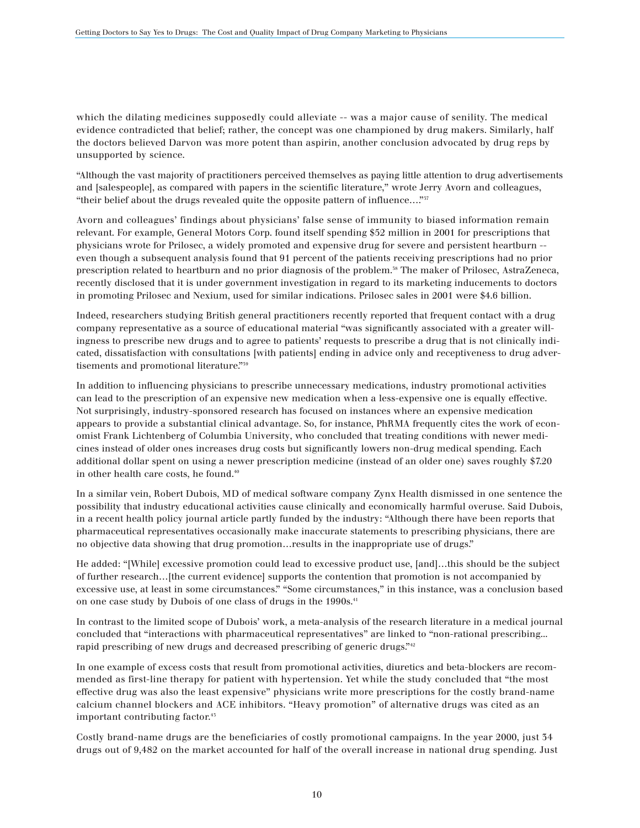which the dilating medicines supposedly could alleviate  $-$  was a major cause of senility. The medical evidence contradicted that belief; rather, the concept was one championed by drug makers. Similarly, half the doctors believed Darvon was more potent than aspirin, another conclusion advocated by drug reps by unsupported by science.

"Although the vast majority of practitioners perceived themselves as paying little attention to drug advertisements and [salespeople], as compared with papers in the scientific literature," wrote Jerry Avorn and colleagues, "their belief about the drugs revealed quite the opposite pattern of influence…."37

Avorn and colleagues' findings about physicians' false sense of immunity to biased information remain relevant. For example, General Motors Corp. found itself spending \$52 million in 2001 for prescriptions that physicians wrote for Prilosec, a widely promoted and expensive drug for severe and persistent heartburn - even though a subsequent analysis found that 91 percent of the patients receiving prescriptions had no prior prescription related to heartburn and no prior diagnosis of the problem.38 The maker of Prilosec, AstraZeneca, recently disclosed that it is under government investigation in regard to its marketing inducements to doctors in promoting Prilosec and Nexium, used for similar indications. Prilosec sales in 2001 were \$4.6 billion.

Indeed, researchers studying British general practitioners recently reported that frequent contact with a drug company representative as a source of educational material "was significantly associated with a greater willingness to prescribe new drugs and to agree to patients' requests to prescribe a drug that is not clinically indicated, dissatisfaction with consultations [with patients] ending in advice only and receptiveness to drug advertisements and promotional literature."39

In addition to influencing physicians to prescribe unnecessary medications, industry promotional activities can lead to the prescription of an expensive new medication when a less-expensive one is equally effective. Not surprisingly, industry-sponsored research has focused on instances where an expensive medication appears to provide a substantial clinical advantage. So, for instance, PhRMA frequently cites the work of economist Frank Lichtenberg of Columbia University, who concluded that treating conditions with newer medicines instead of older ones increases drug costs but significantly lowers non-drug medical spending. Each additional dollar spent on using a newer prescription medicine (instead of an older one) saves roughly \$7.20 in other health care costs, he found.<sup>40</sup>

In a similar vein, Robert Dubois, MD of medical software company Zynx Health dismissed in one sentence the possibility that industry educational activities cause clinically and economically harmful overuse. Said Dubois, in a recent health policy journal article partly funded by the industry: "Although there have been reports that pharmaceutical representatives occasionally make inaccurate statements to prescribing physicians, there are no objective data showing that drug promotion…results in the inappropriate use of drugs."

He added: "[While] excessive promotion could lead to excessive product use, [and]…this should be the subject of further research…[the current evidence] supports the contention that promotion is not accompanied by excessive use, at least in some circumstances." "Some circumstances," in this instance, was a conclusion based on one case study by Dubois of one class of drugs in the 1990s.<sup>41</sup>

In contrast to the limited scope of Dubois' work, a meta-analysis of the research literature in a medical journal concluded that "interactions with pharmaceutical representatives" are linked to "non-rational prescribing... rapid prescribing of new drugs and decreased prescribing of generic drugs."<sup>42</sup>

In one example of excess costs that result from promotional activities, diuretics and beta-blockers are recommended as first-line therapy for patient with hypertension. Yet while the study concluded that "the most effective drug was also the least expensive" physicians write more prescriptions for the costly brand-name calcium channel blockers and ACE inhibitors. "Heavy promotion" of alternative drugs was cited as an important contributing factor.<sup>45</sup>

Costly brand-name drugs are the beneficiaries of costly promotional campaigns. In the year 2000, just 34 drugs out of 9,482 on the market accounted for half of the overall increase in national drug spending. Just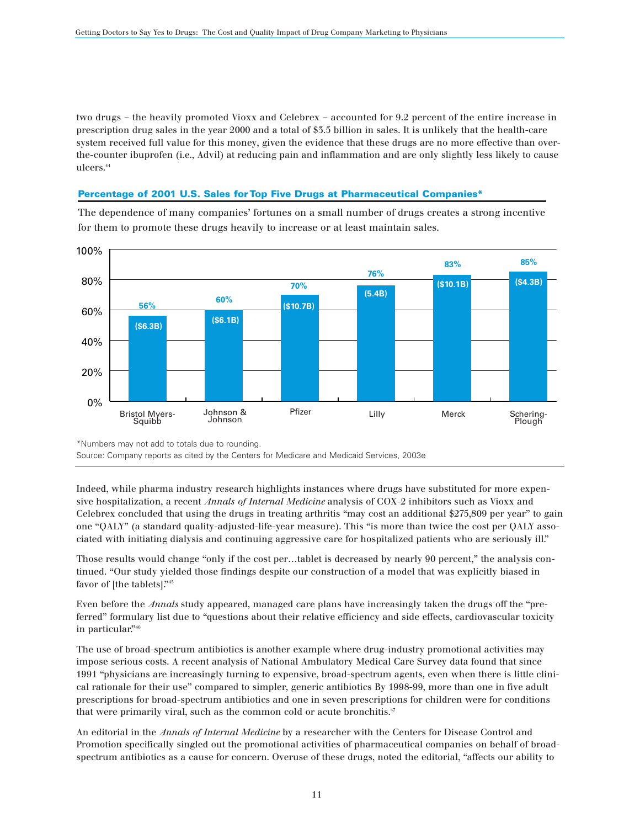two drugs – the heavily promoted Vioxx and Celebrex – accounted for 9.2 percent of the entire increase in prescription drug sales in the year 2000 and a total of \$3.5 billion in sales. It is unlikely that the health-care system received full value for this money, given the evidence that these drugs are no more effective than overthe-counter ibuprofen (i.e., Advil) at reducing pain and inflammation and are only slightly less likely to cause ulcers.44

### **Percentage of 2001 U.S. Sales for Top Five Drugs at Pharmaceutical Companies\***

The dependence of many companies' fortunes on a small number of drugs creates a strong incentive for them to promote these drugs heavily to increase or at least maintain sales.



Source: Company reports as cited by the Centers for Medicare and Medicaid Services, 2003e

Indeed, while pharma industry research highlights instances where drugs have substituted for more expensive hospitalization, a recent *Annals of Internal Medicine* analysis of COX-2 inhibitors such as Vioxx and Celebrex concluded that using the drugs in treating arthritis "may cost an additional \$275,809 per year" to gain one "QALY" (a standard quality-adjusted-life-year measure). This "is more than twice the cost per QALY associated with initiating dialysis and continuing aggressive care for hospitalized patients who are seriously ill."

Those results would change "only if the cost per…tablet is decreased by nearly 90 percent," the analysis continued. "Our study yielded those findings despite our construction of a model that was explicitly biased in favor of [the tablets]."45

Even before the *Annals* study appeared, managed care plans have increasingly taken the drugs off the "preferred" formulary list due to "questions about their relative efficiency and side effects, cardiovascular toxicity in particular."46

The use of broad-spectrum antibiotics is another example where drug-industry promotional activities may impose serious costs. A recent analysis of National Ambulatory Medical Care Survey data found that since 1991 "physicians are increasingly turning to expensive, broad-spectrum agents, even when there is little clinical rationale for their use" compared to simpler, generic antibiotics By 1998-99, more than one in five adult prescriptions for broad-spectrum antibiotics and one in seven prescriptions for children were for conditions that were primarily viral, such as the common cold or acute bronchitis.<sup>47</sup>

An editorial in the *Annals of Internal Medicine* by a researcher with the Centers for Disease Control and Promotion specifically singled out the promotional activities of pharmaceutical companies on behalf of broadspectrum antibiotics as a cause for concern. Overuse of these drugs, noted the editorial, "affects our ability to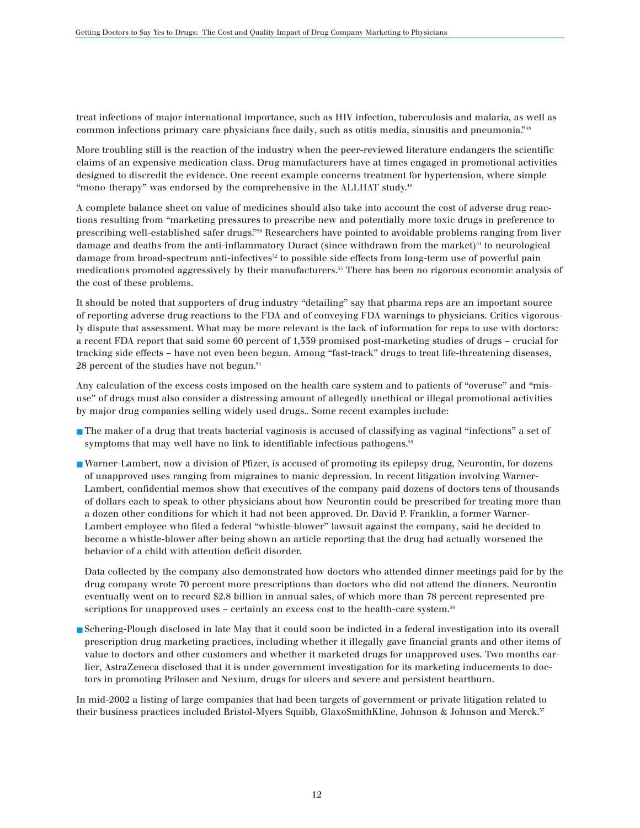treat infections of major international importance, such as HIV infection, tuberculosis and malaria, as well as common infections primary care physicians face daily, such as otitis media, sinusitis and pneumonia."48

More troubling still is the reaction of the industry when the peer-reviewed literature endangers the scientific claims of an expensive medication class. Drug manufacturers have at times engaged in promotional activities designed to discredit the evidence. One recent example concerns treatment for hypertension, where simple "mono-therapy" was endorsed by the comprehensive in the ALLHAT study.49

A complete balance sheet on value of medicines should also take into account the cost of adverse drug reactions resulting from "marketing pressures to prescribe new and potentially more toxic drugs in preference to prescribing well-established safer drugs."50 Researchers have pointed to avoidable problems ranging from liver damage and deaths from the anti-inflammatory Duract (since withdrawn from the market)<sup>51</sup> to neurological damage from broad-spectrum anti-infectives52 to possible side effects from long-term use of powerful pain medications promoted aggressively by their manufacturers.53 There has been no rigorous economic analysis of the cost of these problems.

It should be noted that supporters of drug industry "detailing" say that pharma reps are an important source of reporting adverse drug reactions to the FDA and of conveying FDA warnings to physicians. Critics vigorously dispute that assessment. What may be more relevant is the lack of information for reps to use with doctors: a recent FDA report that said some 60 percent of 1,339 promised post-marketing studies of drugs – crucial for tracking side effects – have not even been begun. Among "fast-track" drugs to treat life-threatening diseases, 28 percent of the studies have not begun.54

Any calculation of the excess costs imposed on the health care system and to patients of "overuse" and "misuse" of drugs must also consider a distressing amount of allegedly unethical or illegal promotional activities by major drug companies selling widely used drugs.. Some recent examples include:

- The maker of a drug that treats bacterial vaginosis is accused of classifying as vaginal "infections" a set of symptoms that may well have no link to identifiable infectious pathogens.<sup>55</sup>
- Warner-Lambert, now a division of Pfizer, is accused of promoting its epilepsy drug, Neurontin, for dozens of unapproved uses ranging from migraines to manic depression. In recent litigation involving Warner-Lambert, confidential memos show that executives of the company paid dozens of doctors tens of thousands of dollars each to speak to other physicians about how Neurontin could be prescribed for treating more than a dozen other conditions for which it had not been approved. Dr. David P. Franklin, a former Warner-Lambert employee who filed a federal "whistle-blower" lawsuit against the company, said he decided to become a whistle-blower after being shown an article reporting that the drug had actually worsened the behavior of a child with attention deficit disorder.

Data collected by the company also demonstrated how doctors who attended dinner meetings paid for by the drug company wrote 70 percent more prescriptions than doctors who did not attend the dinners. Neurontin eventually went on to record \$2.8 billion in annual sales, of which more than 78 percent represented prescriptions for unapproved uses – certainly an excess cost to the health-care system.<sup>56</sup>

■ Schering-Plough disclosed in late May that it could soon be indicted in a federal investigation into its overall prescription drug marketing practices, including whether it illegally gave financial grants and other items of value to doctors and other customers and whether it marketed drugs for unapproved uses. Two months earlier, AstraZeneca disclosed that it is under government investigation for its marketing inducements to doctors in promoting Prilosec and Nexium, drugs for ulcers and severe and persistent heartburn.

In mid-2002 a listing of large companies that had been targets of government or private litigation related to their business practices included Bristol-Myers Squibb, GlaxoSmithKline, Johnson & Johnson and Merck.<sup>57</sup>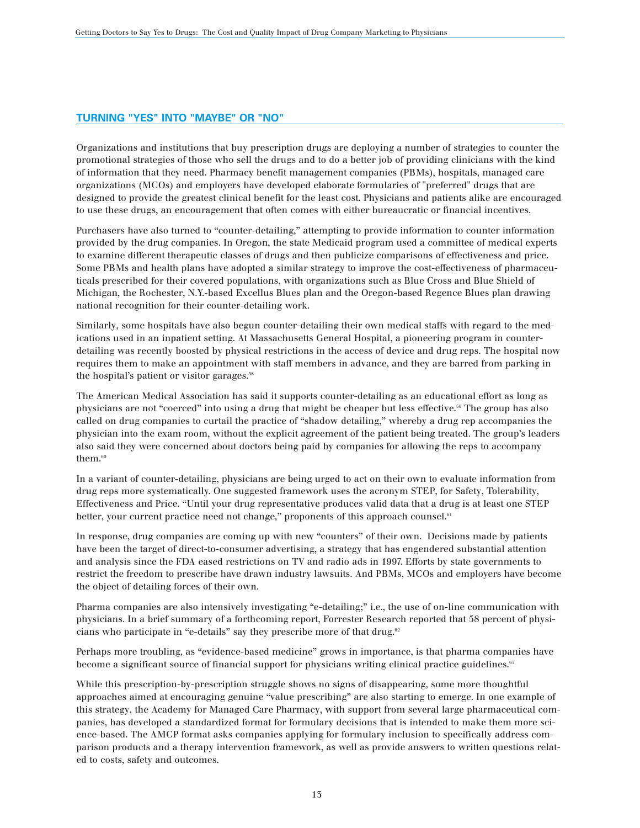# **TURNING "YES" INTO "MAYBE" OR "NO"**

Organizations and institutions that buy prescription drugs are deploying a number of strategies to counter the promotional strategies of those who sell the drugs and to do a better job of providing clinicians with the kind of information that they need. Pharmacy benefit management companies (PBMs), hospitals, managed care organizations (MCOs) and employers have developed elaborate formularies of "preferred" drugs that are designed to provide the greatest clinical benefit for the least cost. Physicians and patients alike are encouraged to use these drugs, an encouragement that often comes with either bureaucratic or financial incentives.

Purchasers have also turned to "counter-detailing," attempting to provide information to counter information provided by the drug companies. In Oregon, the state Medicaid program used a committee of medical experts to examine different therapeutic classes of drugs and then publicize comparisons of effectiveness and price. Some PBMs and health plans have adopted a similar strategy to improve the cost-effectiveness of pharmaceuticals prescribed for their covered populations, with organizations such as Blue Cross and Blue Shield of Michigan, the Rochester, N.Y.-based Excellus Blues plan and the Oregon-based Regence Blues plan drawing national recognition for their counter-detailing work.

Similarly, some hospitals have also begun counter-detailing their own medical staffs with regard to the medications used in an inpatient setting. At Massachusetts General Hospital, a pioneering program in counterdetailing was recently boosted by physical restrictions in the access of device and drug reps. The hospital now requires them to make an appointment with staff members in advance, and they are barred from parking in the hospital's patient or visitor garages.<sup>58</sup>

The American Medical Association has said it supports counter-detailing as an educational effort as long as physicians are not "coerced" into using a drug that might be cheaper but less effective.59 The group has also called on drug companies to curtail the practice of "shadow detailing," whereby a drug rep accompanies the physician into the exam room, without the explicit agreement of the patient being treated. The group's leaders also said they were concerned about doctors being paid by companies for allowing the reps to accompany them.<sup>60</sup>

In a variant of counter-detailing, physicians are being urged to act on their own to evaluate information from drug reps more systematically. One suggested framework uses the acronym STEP, for Safety, Tolerability, Effectiveness and Price. "Until your drug representative produces valid data that a drug is at least one STEP better, your current practice need not change," proponents of this approach counsel.<sup>61</sup>

In response, drug companies are coming up with new "counters" of their own. Decisions made by patients have been the target of direct-to-consumer advertising, a strategy that has engendered substantial attention and analysis since the FDA eased restrictions on TV and radio ads in 1997. Efforts by state governments to restrict the freedom to prescribe have drawn industry lawsuits. And PBMs, MCOs and employers have become the object of detailing forces of their own.

Pharma companies are also intensively investigating "e-detailing;" i.e., the use of on-line communication with physicians. In a brief summary of a forthcoming report, Forrester Research reported that 58 percent of physicians who participate in "e-details" say they prescribe more of that drug.<sup>62</sup>

Perhaps more troubling, as "evidence-based medicine" grows in importance, is that pharma companies have become a significant source of financial support for physicians writing clinical practice guidelines.<sup>65</sup>

While this prescription-by-prescription struggle shows no signs of disappearing, some more thoughtful approaches aimed at encouraging genuine "value prescribing" are also starting to emerge. In one example of this strategy, the Academy for Managed Care Pharmacy, with support from several large pharmaceutical companies, has developed a standardized format for formulary decisions that is intended to make them more science-based. The AMCP format asks companies applying for formulary inclusion to specifically address comparison products and a therapy intervention framework, as well as provide answers to written questions related to costs, safety and outcomes.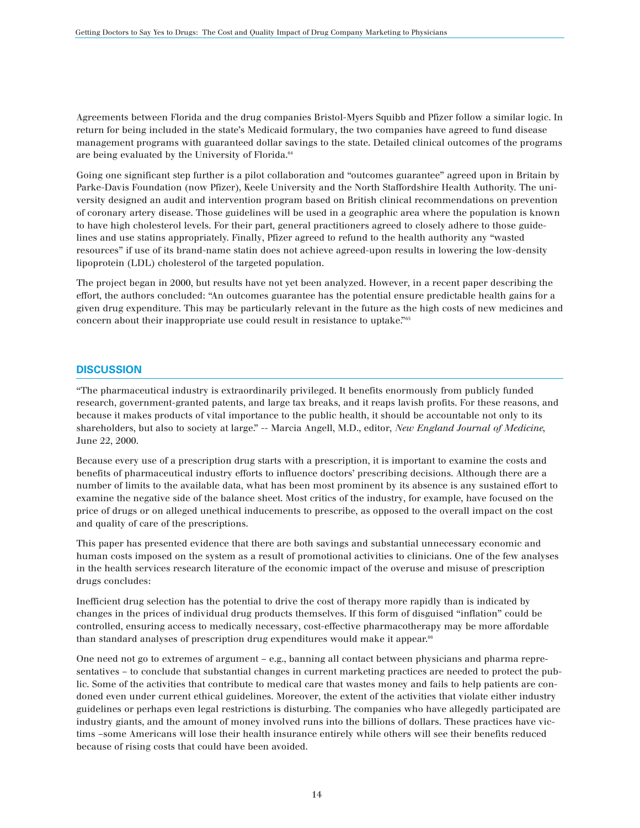Agreements between Florida and the drug companies Bristol-Myers Squibb and Pfizer follow a similar logic. In return for being included in the state's Medicaid formulary, the two companies have agreed to fund disease management programs with guaranteed dollar savings to the state. Detailed clinical outcomes of the programs are being evaluated by the University of Florida.<sup>64</sup>

Going one significant step further is a pilot collaboration and "outcomes guarantee" agreed upon in Britain by Parke-Davis Foundation (now Pfizer), Keele University and the North Staffordshire Health Authority. The university designed an audit and intervention program based on British clinical recommendations on prevention of coronary artery disease. Those guidelines will be used in a geographic area where the population is known to have high cholesterol levels. For their part, general practitioners agreed to closely adhere to those guidelines and use statins appropriately. Finally, Pfizer agreed to refund to the health authority any "wasted resources" if use of its brand-name statin does not achieve agreed-upon results in lowering the low-density lipoprotein (LDL) cholesterol of the targeted population.

The project began in 2000, but results have not yet been analyzed. However, in a recent paper describing the effort, the authors concluded: "An outcomes guarantee has the potential ensure predictable health gains for a given drug expenditure. This may be particularly relevant in the future as the high costs of new medicines and concern about their inappropriate use could result in resistance to uptake."65

## **DISCUSSION**

"The pharmaceutical industry is extraordinarily privileged. It benefits enormously from publicly funded research, government-granted patents, and large tax breaks, and it reaps lavish profits. For these reasons, and because it makes products of vital importance to the public health, it should be accountable not only to its shareholders, but also to society at large." -- Marcia Angell, M.D., editor, *New England Journal of Medicine*, June 22, 2000.

Because every use of a prescription drug starts with a prescription, it is important to examine the costs and benefits of pharmaceutical industry efforts to influence doctors' prescribing decisions. Although there are a number of limits to the available data, what has been most prominent by its absence is any sustained effort to examine the negative side of the balance sheet. Most critics of the industry, for example, have focused on the price of drugs or on alleged unethical inducements to prescribe, as opposed to the overall impact on the cost and quality of care of the prescriptions.

This paper has presented evidence that there are both savings and substantial unnecessary economic and human costs imposed on the system as a result of promotional activities to clinicians. One of the few analyses in the health services research literature of the economic impact of the overuse and misuse of prescription drugs concludes:

Inefficient drug selection has the potential to drive the cost of therapy more rapidly than is indicated by changes in the prices of individual drug products themselves. If this form of disguised "inflation" could be controlled, ensuring access to medically necessary, cost-effective pharmacotherapy may be more affordable than standard analyses of prescription drug expenditures would make it appear.<sup>66</sup>

One need not go to extremes of argument – e.g., banning all contact between physicians and pharma representatives – to conclude that substantial changes in current marketing practices are needed to protect the public. Some of the activities that contribute to medical care that wastes money and fails to help patients are condoned even under current ethical guidelines. Moreover, the extent of the activities that violate either industry guidelines or perhaps even legal restrictions is disturbing. The companies who have allegedly participated are industry giants, and the amount of money involved runs into the billions of dollars. These practices have victims –some Americans will lose their health insurance entirely while others will see their benefits reduced because of rising costs that could have been avoided.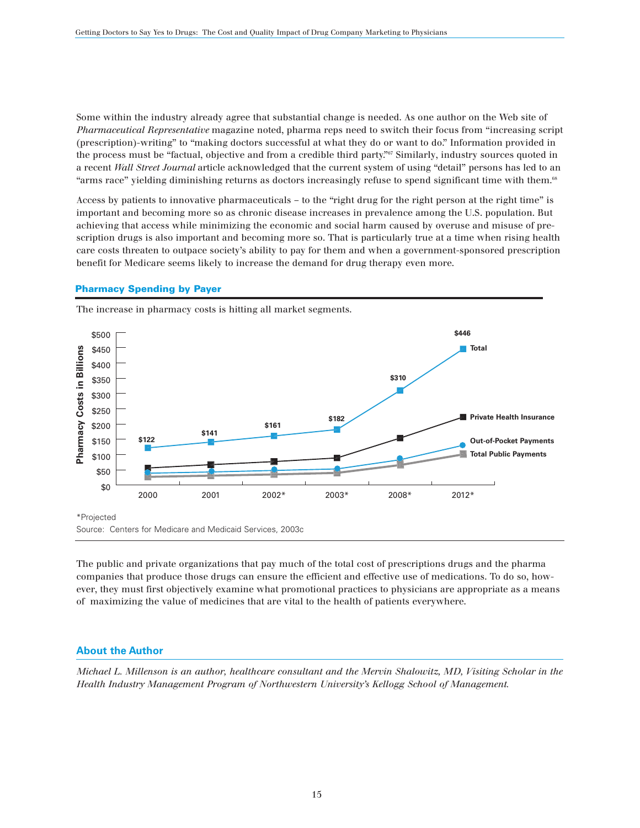Some within the industry already agree that substantial change is needed. As one author on the Web site of *Pharmaceutical Representative* magazine noted, pharma reps need to switch their focus from "increasing script (prescription)-writing" to "making doctors successful at what they do or want to do." Information provided in the process must be "factual, objective and from a credible third party."<sup>67</sup> Similarly, industry sources quoted in a recent *Wall Street Journal* article acknowledged that the current system of using "detail" persons has led to an "arms race" yielding diminishing returns as doctors increasingly refuse to spend significant time with them.<sup>68</sup>

Access by patients to innovative pharmaceuticals – to the "right drug for the right person at the right time" is important and becoming more so as chronic disease increases in prevalence among the U.S. population. But achieving that access while minimizing the economic and social harm caused by overuse and misuse of prescription drugs is also important and becoming more so. That is particularly true at a time when rising health care costs threaten to outpace society's ability to pay for them and when a government-sponsored prescription benefit for Medicare seems likely to increase the demand for drug therapy even more.

#### **Pharmacy Spending by Payer**



The increase in pharmacy costs is hitting all market segments.

The public and private organizations that pay much of the total cost of prescriptions drugs and the pharma companies that produce those drugs can ensure the efficient and effective use of medications. To do so, however, they must first objectively examine what promotional practices to physicians are appropriate as a means of maximizing the value of medicines that are vital to the health of patients everywhere.

# **About the Author**

*Michael L. Millenson is an author, healthcare consultant and the Mervin Shalowitz, MD, Visiting Scholar in the Health Industry Management Program of Northwestern University's Kellogg School of Management.*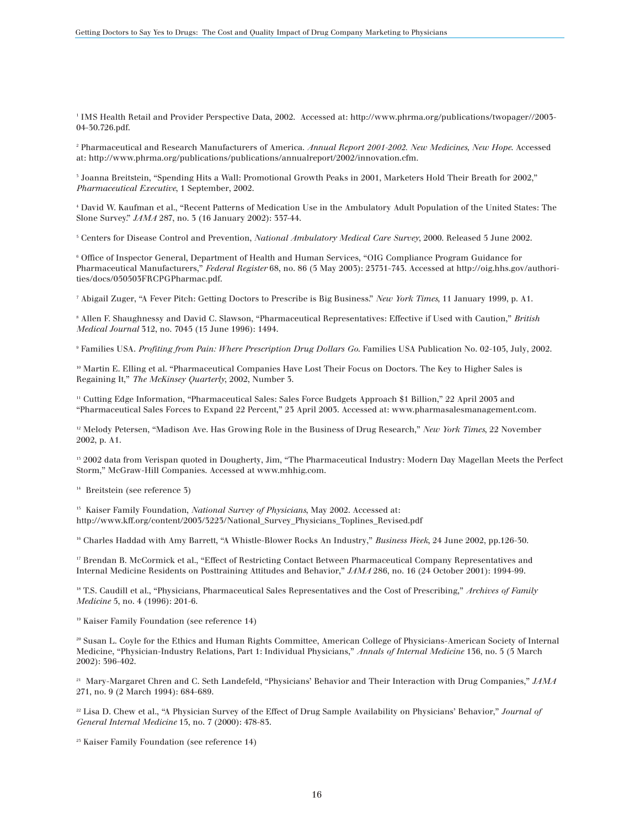<sup>1</sup> IMS Health Retail and Provider Perspective Data, 2002. Accessed at: http://www.phrma.org/publications/twopager//2003- 04-30.726.pdf.

<sup>2</sup> Pharmaceutical and Research Manufacturers of America. *Annual Report 2001-2002. New Medicines, New Hope*. Accessed at: http://www.phrma.org/publications/publications/annualreport/2002/innovation.cfm.

<sup>3</sup> Joanna Breitstein, "Spending Hits a Wall: Promotional Growth Peaks in 2001, Marketers Hold Their Breath for 2002," *Pharmaceutical Executive*, 1 September, 2002.

<sup>4</sup> David W. Kaufman et al., "Recent Patterns of Medication Use in the Ambulatory Adult Population of the United States: The Slone Survey." *JAMA* 287, no. 3 (16 January 2002): 337-44.

<sup>5</sup> Centers for Disease Control and Prevention, *National Ambulatory Medical Care Survey*, 2000. Released 5 June 2002.

<sup>6</sup> Office of Inspector General, Department of Health and Human Services, "OIG Compliance Program Guidance for Pharmaceutical Manufacturers," *Federal Register* 68, no. 86 (5 May 2003): 23731-743. Accessed at http://oig.hhs.gov/authorities/docs/050503FRCPGPharmac.pdf.

<sup>7</sup> Abigail Zuger, "A Fever Pitch: Getting Doctors to Prescribe is Big Business." *New York Times*, 11 January 1999, p. A1.

<sup>8</sup> Allen F. Shaughnessy and David C. Slawson, "Pharmaceutical Representatives: Effective if Used with Caution," *British Medical Journal* 312, no. 7045 (15 June 1996): 1494.

<sup>9</sup> Families USA. *Profiting from Pain: Where Prescription Drug Dollars Go*. Families USA Publication No. 02-105, July, 2002.

<sup>10</sup> Martin E. Elling et al. "Pharmaceutical Companies Have Lost Their Focus on Doctors. The Key to Higher Sales is Regaining It," *The McKinsey Quarterly*, 2002, Number 3.

<sup>11</sup> Cutting Edge Information, "Pharmaceutical Sales: Sales Force Budgets Approach \$1 Billion," 22 April 2003 and "Pharmaceutical Sales Forces to Expand 22 Percent," 23 April 2003. Accessed at: www.pharmasalesmanagement.com.

<sup>12</sup> Melody Petersen, "Madison Ave. Has Growing Role in the Business of Drug Research," *New York Times*, 22 November 2002, p. A1.

<sup>13</sup> 2002 data from Verispan quoted in Dougherty, Jim, "The Pharmaceutical Industry: Modern Day Magellan Meets the Perfect Storm," McGraw-Hill Companies. Accessed at www.mhhig.com.

<sup>14</sup> Breitstein (see reference 3)

<sup>15</sup> Kaiser Family Foundation, *National Survey of Physicians*, May 2002. Accessed at: http://www.kff.org/content/2003/3223/National\_Survey\_Physicians\_Toplines\_Revised.pdf

<sup>16</sup> Charles Haddad with Amy Barrett, "A Whistle-Blower Rocks An Industry," *Business Week*, 24 June 2002, pp.126-30.

<sup>17</sup> Brendan B. McCormick et al., "Effect of Restricting Contact Between Pharmaceutical Company Representatives and Internal Medicine Residents on Posttraining Attitudes and Behavior," *JAMA* 286, no. 16 (24 October 2001): 1994-99.

<sup>18</sup> T.S. Caudill et al., "Physicians, Pharmaceutical Sales Representatives and the Cost of Prescribing," Archives of Family *Medicine* 5, no. 4 (1996): 201-6.

<sup>19</sup> Kaiser Family Foundation (see reference 14)

<sup>20</sup> Susan L. Coyle for the Ethics and Human Rights Committee, American College of Physicians-American Society of Internal Medicine, "Physician-Industry Relations, Part 1: Individual Physicians," *Annals of Internal Medicine* 136, no. 5 (5 March 2002): 396-402.

<sup>21</sup> Mary-Margaret Chren and C. Seth Landefeld, "Physicians' Behavior and Their Interaction with Drug Companies," *JAMA* 271, no. 9 (2 March 1994): 684-689.

<sup>22</sup> Lisa D. Chew et al., "A Physician Survey of the Effect of Drug Sample Availability on Physicians' Behavior," *Journal of General Internal Medicine* 15, no. 7 (2000): 478-83.

<sup>23</sup> Kaiser Family Foundation (see reference 14)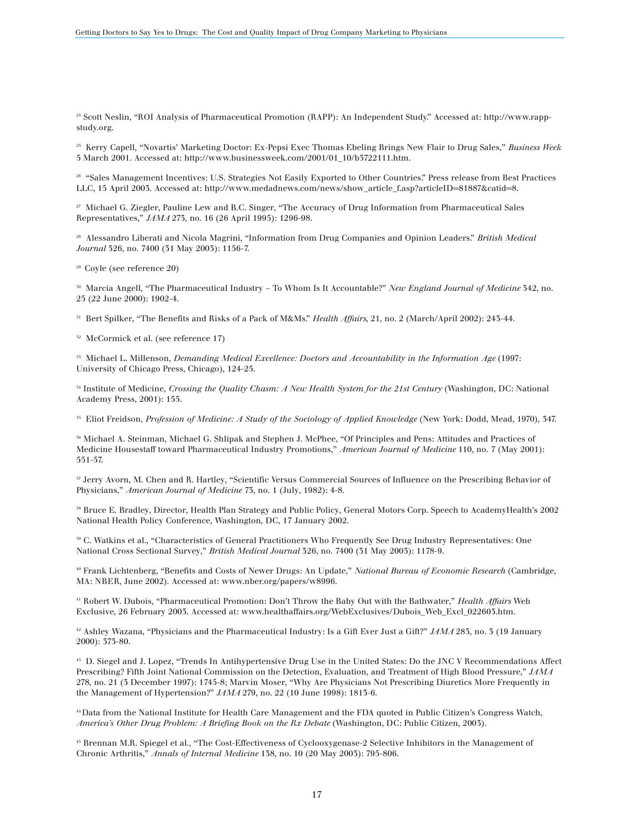<sup>24</sup> Scott Neslin, "ROI Analysis of Pharmaceutical Promotion (RAPP): An Independent Study." Accessed at: http://www.rappstudy.org.

<sup>25</sup> Kerry Capell, "Novartis' Marketing Doctor: Ex-Pepsi Exec Thomas Ebeling Brings New Flair to Drug Sales," *Business Week* 5 March 2001. Accessed at: http://www.businessweek.com/2001/01\_10/b3722111.htm.

<sup>26</sup> "Sales Management Incentives: U.S. Strategies Not Easily Exported to Other Countries." Press release from Best Practices LLC, 15 April 2003. Accessed at: http://www.medadnews.com/news/show\_article\_f.asp?articleID=81887&catid=8.

<sup>27</sup> Michael G. Ziegler, Pauline Lew and B.C. Singer, "The Accuracy of Drug Information from Pharmaceutical Sales Representatives," *JAMA* 273, no. 16 (26 April 1995): 1296-98.

<sup>28</sup> Alessandro Liberati and Nicola Magrini, "Information from Drug Companies and Opinion Leaders." *British Medical Journal* 326, no. 7400 (31 May 2003): 1156-7.

29 Coyle (see reference 20)

<sup>30</sup> Marcia Angell, "The Pharmaceutical Industry – To Whom Is It Accountable?" *New England Journal of Medicine* 342, no. 25 (22 June 2000): 1902-4.

<sup>31</sup> Bert Spilker, "The Benefits and Risks of a Pack of M&Ms." *Health Affairs*, 21, no. 2 (March/April 2002): 243-44.

<sup>32</sup> McCormick et al. (see reference 17)

<sup>33</sup> Michael L. Millenson, *Demanding Medical Excellence: Doctors and Accountability in the Information Age* (1997: University of Chicago Press, Chicago), 124-25.

<sup>34</sup> Institute of Medicine, *Crossing the Quality Chasm: A New Health System for the 21st Century* (Washington, DC: National Academy Press, 2001): 155.

<sup>35</sup> Eliot Freidson, *Profession of Medicine: A Study of the Sociology of Applied Knowledge* (New York: Dodd, Mead, 1970), 347.

<sup>36</sup> Michael A. Steinman, Michael G. Shlipak and Stephen J. McPhee, "Of Principles and Pens: Attitudes and Practices of Medicine Housestaff toward Pharmaceutical Industry Promotions," *American Journal of Medicine* 110, no. 7 (May 2001): 551-57.

<sup>37</sup> Jerry Avorn, M. Chen and R. Hartley, "Scientific Versus Commercial Sources of Influence on the Prescribing Behavior of Physicians," *American Journal of Medicine* 73, no. 1 (July, 1982): 4-8.

<sup>38</sup> Bruce E. Bradley, Director, Health Plan Strategy and Public Policy, General Motors Corp. Speech to AcademyHealth's 2002 National Health Policy Conference, Washington, DC, 17 January 2002.

<sup>39</sup> C. Watkins et al., "Characteristics of General Practitioners Who Frequently See Drug Industry Representatives: One National Cross Sectional Survey," *British Medical Journal* 326, no. 7400 (31 May 2003): 1178-9.

<sup>40</sup> Frank Lichtenberg, "Benefits and Costs of Newer Drugs: An Update," *National Bureau of Economic Research* (Cambridge, MA: NBER, June 2002). Accessed at: www.nber.org/papers/w8996.

<sup>41</sup> Robert W. Dubois, "Pharmaceutical Promotion: Don't Throw the Baby Out with the Bathwater," *Health Affairs* Web Exclusive, 26 February 2003. Accessed at: www.healthaffairs.org/WebExclusives/Dubois\_Web\_Excl\_022603.htm.

<sup>42</sup> Ashley Wazana, "Physicians and the Pharmaceutical Industry: Is a Gift Ever Just a Gift?" *JAMA* 283, no. 3 (19 January 2000): 373-80.

<sup>43</sup> D. Siegel and J. Lopez, "Trends In Antihypertensive Drug Use in the United States: Do the JNC V Recommendations Affect Prescribing? Fifth Joint National Commission on the Detection, Evaluation, and Treatment of High Blood Pressure," *JAMA* 278, no. 21 (3 December 1997): 1745-8; Marvin Moser, "Why Are Physicians Not Prescribing Diuretics More Frequently in the Management of Hypertension?" *JAMA* 279, no. 22 (10 June 1998): 1813-6.

44 Data from the National Institute for Health Care Management and the FDA quoted in Public Citizen's Congress Watch, *America's Other Drug Problem: A Briefing Book on the Rx Debate* (Washington, DC: Public Citizen, 2003).

<sup>45</sup> Brennan M.R. Spiegel et al., "The Cost-Effectiveness of Cyclooxygenase-2 Selective Inhibitors in the Management of Chronic Arthritis," *Annals of Internal Medicine* 138, no. 10 (20 May 2003): 795-806.